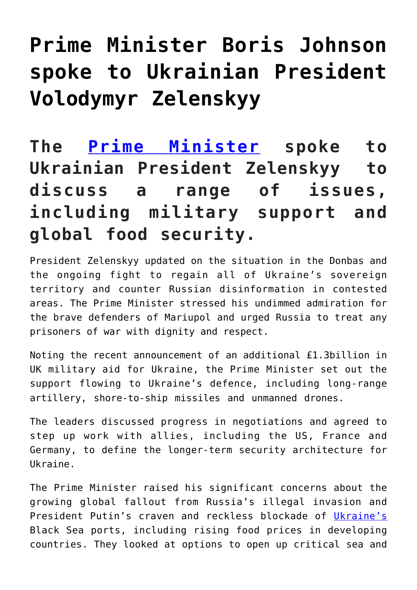## **[Prime Minister Boris Johnson](http://mumsru.de/2022/05/20/prime-minister-boris-johnson-spoke-to-ukrainian-president-volodymyr-zelenskyy/) [spoke to Ukrainian President](http://mumsru.de/2022/05/20/prime-minister-boris-johnson-spoke-to-ukrainian-president-volodymyr-zelenskyy/) [Volodymyr Zelenskyy](http://mumsru.de/2022/05/20/prime-minister-boris-johnson-spoke-to-ukrainian-president-volodymyr-zelenskyy/)**

## **The [Prime Minister](http://mumsru.de/2021/03/15/prime-minister/) spoke to Ukrainian President Zelenskyy to discuss a range of issues, including military support and global food security.**

President Zelenskyy updated on the situation in the Donbas and the ongoing fight to regain all of Ukraine's sovereign territory and counter Russian disinformation in contested areas. The Prime Minister stressed his undimmed admiration for the brave defenders of Mariupol and urged Russia to treat any prisoners of war with dignity and respect.

Noting the recent announcement of an additional £1.3billion in UK military aid for Ukraine, the Prime Minister set out the support flowing to Ukraine's defence, including long-range artillery, shore-to-ship missiles and unmanned drones.

The leaders discussed progress in negotiations and agreed to step up work with allies, including the US, France and Germany, to define the longer-term security architecture for Ukraine.

The Prime Minister raised his significant concerns about the growing global fallout from Russia's illegal invasion and President Putin's craven and reckless blockade of [Ukraine's](https://en.wikipedia.org/wiki/Ukraine) Black Sea ports, including rising food prices in developing countries. They looked at options to open up critical sea and